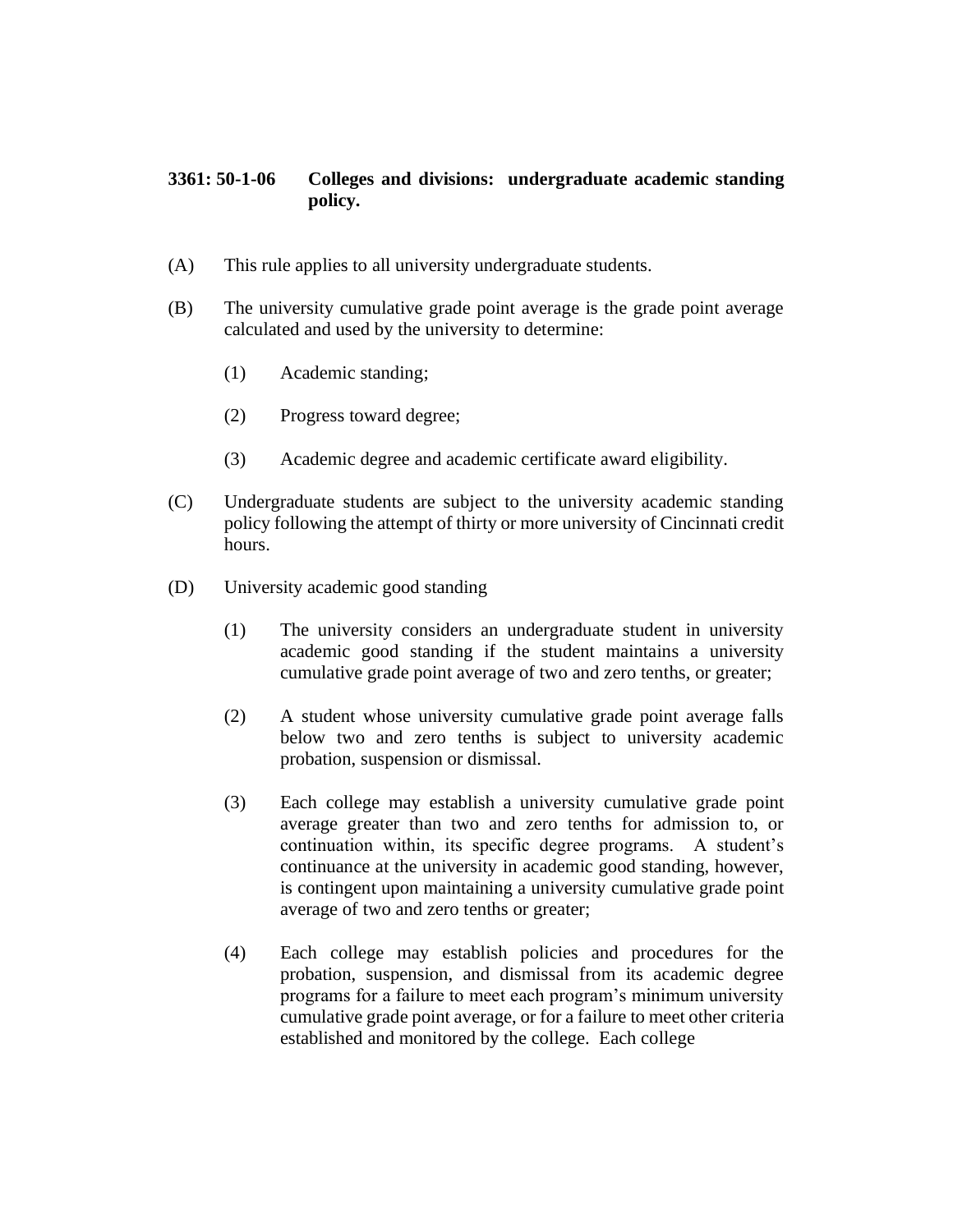## **3361: 50-1-06 Colleges and divisions: undergraduate academic standing policy.**

- (A) This rule applies to all university undergraduate students.
- (B) The university cumulative grade point average is the grade point average calculated and used by the university to determine:
	- (1) Academic standing;
	- (2) Progress toward degree;
	- (3) Academic degree and academic certificate award eligibility.
- (C) Undergraduate students are subject to the university academic standing policy following the attempt of thirty or more university of Cincinnati credit hours.
- (D) University academic good standing
	- (1) The university considers an undergraduate student in university academic good standing if the student maintains a university cumulative grade point average of two and zero tenths, or greater;
	- (2) A student whose university cumulative grade point average falls below two and zero tenths is subject to university academic probation, suspension or dismissal.
	- (3) Each college may establish a university cumulative grade point average greater than two and zero tenths for admission to, or continuation within, its specific degree programs. A student's continuance at the university in academic good standing, however, is contingent upon maintaining a university cumulative grade point average of two and zero tenths or greater;
	- (4) Each college may establish policies and procedures for the probation, suspension, and dismissal from its academic degree programs for a failure to meet each program's minimum university cumulative grade point average, or for a failure to meet other criteria established and monitored by the college. Each college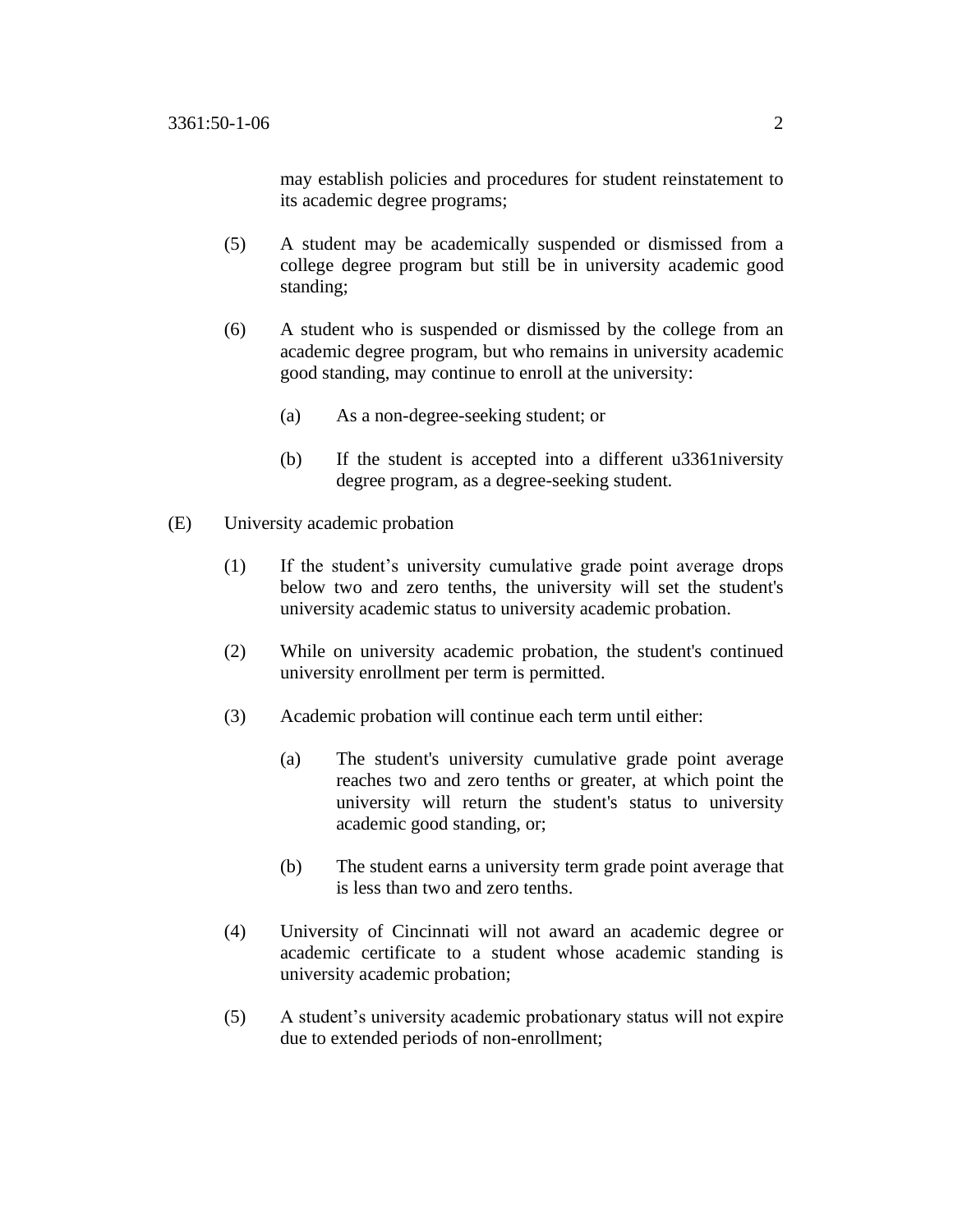may establish policies and procedures for student reinstatement to its academic degree programs;

- (5) A student may be academically suspended or dismissed from a college degree program but still be in university academic good standing;
- (6) A student who is suspended or dismissed by the college from an academic degree program, but who remains in university academic good standing, may continue to enroll at the university:
	- (a) As a non-degree-seeking student; or
	- (b) If the student is accepted into a different u3361niversity degree program, as a degree-seeking student.
- (E) University academic probation
	- (1) If the student's university cumulative grade point average drops below two and zero tenths, the university will set the student's university academic status to university academic probation.
	- (2) While on university academic probation, the student's continued university enrollment per term is permitted.
	- (3) Academic probation will continue each term until either:
		- (a) The student's university cumulative grade point average reaches two and zero tenths or greater, at which point the university will return the student's status to university academic good standing, or;
		- (b) The student earns a university term grade point average that is less than two and zero tenths.
	- (4) University of Cincinnati will not award an academic degree or academic certificate to a student whose academic standing is university academic probation;
	- (5) A student's university academic probationary status will not expire due to extended periods of non-enrollment;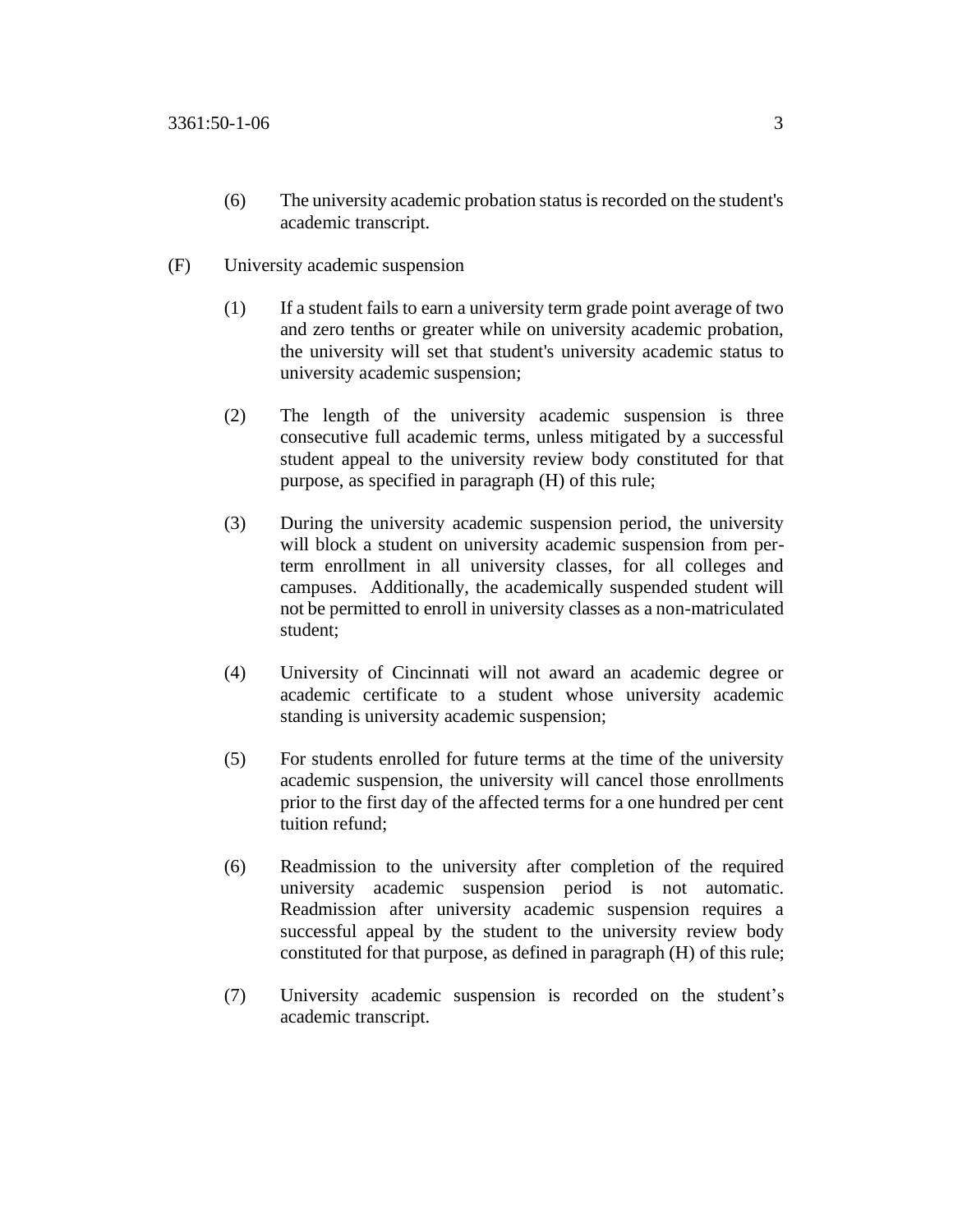- (6) The university academic probation status is recorded on the student's academic transcript.
- (F) University academic suspension
	- (1) If a student fails to earn a university term grade point average of two and zero tenths or greater while on university academic probation, the university will set that student's university academic status to university academic suspension;
	- (2) The length of the university academic suspension is three consecutive full academic terms, unless mitigated by a successful student appeal to the university review body constituted for that purpose, as specified in paragraph (H) of this rule;
	- (3) During the university academic suspension period, the university will block a student on university academic suspension from perterm enrollment in all university classes, for all colleges and campuses. Additionally, the academically suspended student will not be permitted to enroll in university classes as a non-matriculated student;
	- (4) University of Cincinnati will not award an academic degree or academic certificate to a student whose university academic standing is university academic suspension;
	- (5) For students enrolled for future terms at the time of the university academic suspension, the university will cancel those enrollments prior to the first day of the affected terms for a one hundred per cent tuition refund;
	- (6) Readmission to the university after completion of the required university academic suspension period is not automatic. Readmission after university academic suspension requires a successful appeal by the student to the university review body constituted for that purpose, as defined in paragraph (H) of this rule;
	- (7) University academic suspension is recorded on the student's academic transcript.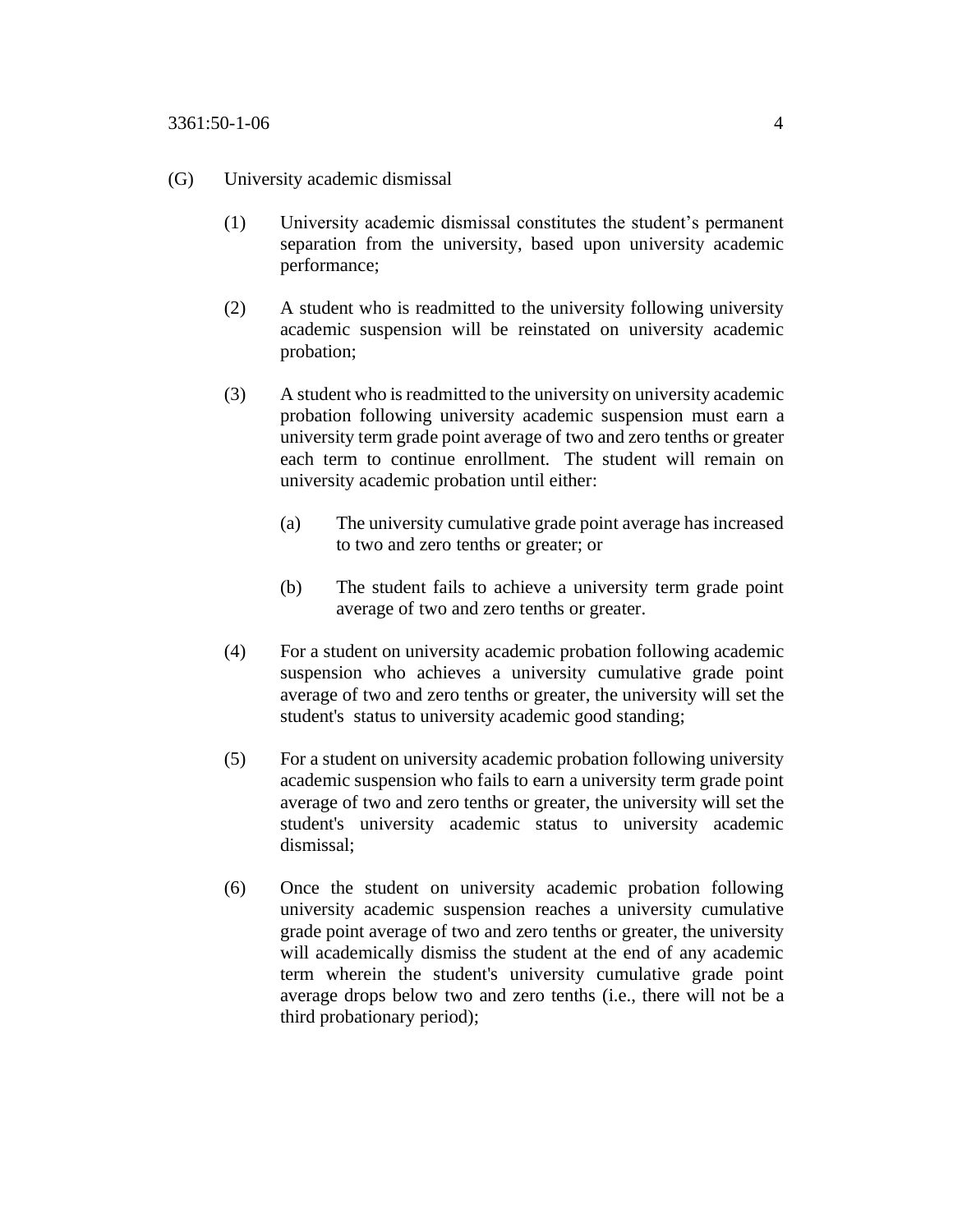## (G) University academic dismissal

- (1) University academic dismissal constitutes the student's permanent separation from the university, based upon university academic performance;
- (2) A student who is readmitted to the university following university academic suspension will be reinstated on university academic probation;
- (3) A student who is readmitted to the university on university academic probation following university academic suspension must earn a university term grade point average of two and zero tenths or greater each term to continue enrollment. The student will remain on university academic probation until either:
	- (a) The university cumulative grade point average has increased to two and zero tenths or greater; or
	- (b) The student fails to achieve a university term grade point average of two and zero tenths or greater.
- (4) For a student on university academic probation following academic suspension who achieves a university cumulative grade point average of two and zero tenths or greater, the university will set the student's status to university academic good standing;
- (5) For a student on university academic probation following university academic suspension who fails to earn a university term grade point average of two and zero tenths or greater, the university will set the student's university academic status to university academic dismissal;
- (6) Once the student on university academic probation following university academic suspension reaches a university cumulative grade point average of two and zero tenths or greater, the university will academically dismiss the student at the end of any academic term wherein the student's university cumulative grade point average drops below two and zero tenths (i.e., there will not be a third probationary period);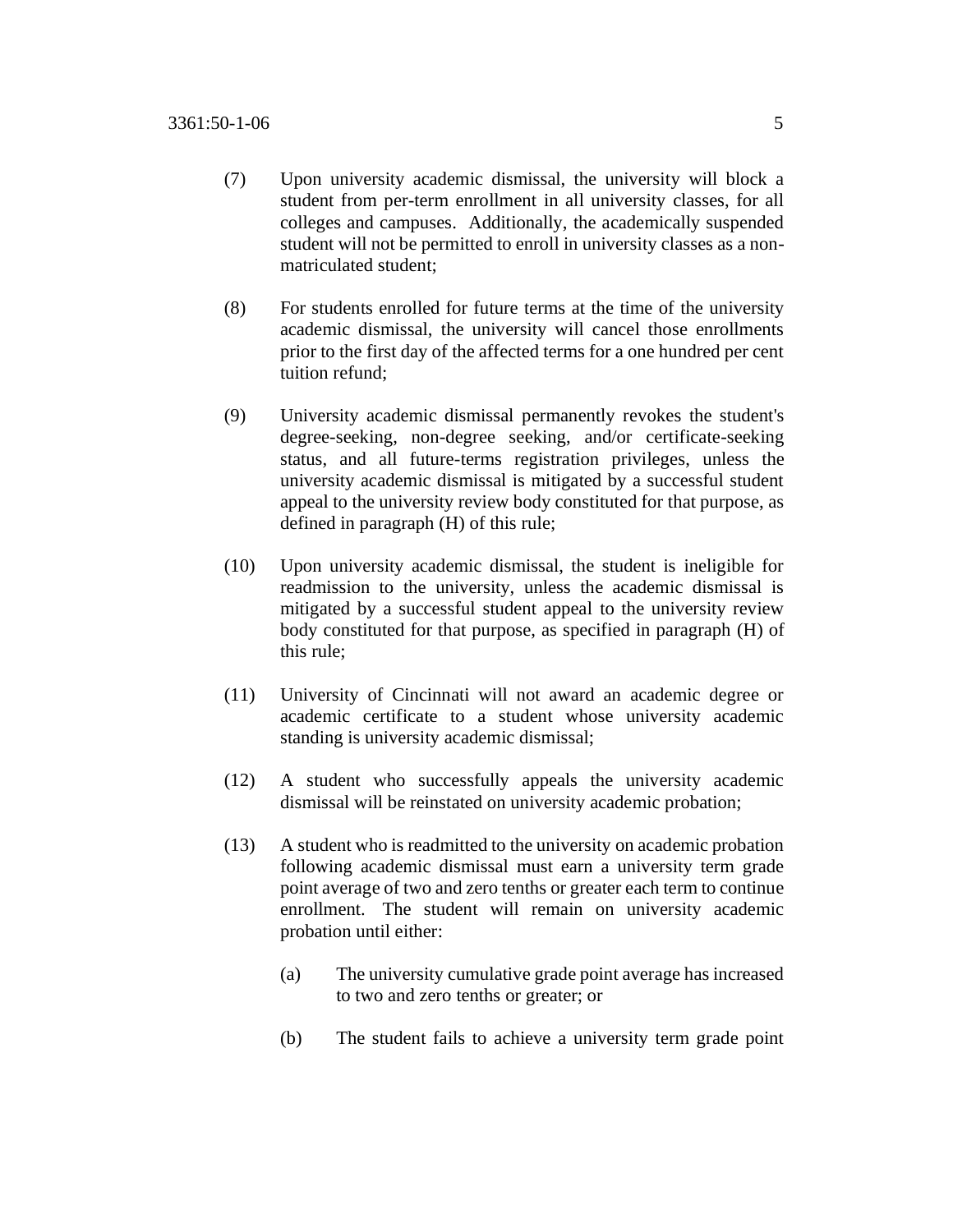- (7) Upon university academic dismissal, the university will block a student from per-term enrollment in all university classes, for all colleges and campuses. Additionally, the academically suspended student will not be permitted to enroll in university classes as a nonmatriculated student;
- (8) For students enrolled for future terms at the time of the university academic dismissal, the university will cancel those enrollments prior to the first day of the affected terms for a one hundred per cent tuition refund;
- (9) University academic dismissal permanently revokes the student's degree-seeking, non-degree seeking, and/or certificate-seeking status, and all future-terms registration privileges, unless the university academic dismissal is mitigated by a successful student appeal to the university review body constituted for that purpose, as defined in paragraph (H) of this rule;
- (10) Upon university academic dismissal, the student is ineligible for readmission to the university, unless the academic dismissal is mitigated by a successful student appeal to the university review body constituted for that purpose, as specified in paragraph (H) of this rule;
- (11) University of Cincinnati will not award an academic degree or academic certificate to a student whose university academic standing is university academic dismissal;
- (12) A student who successfully appeals the university academic dismissal will be reinstated on university academic probation;
- (13) A student who is readmitted to the university on academic probation following academic dismissal must earn a university term grade point average of two and zero tenths or greater each term to continue enrollment. The student will remain on university academic probation until either:
	- (a) The university cumulative grade point average has increased to two and zero tenths or greater; or
	- (b) The student fails to achieve a university term grade point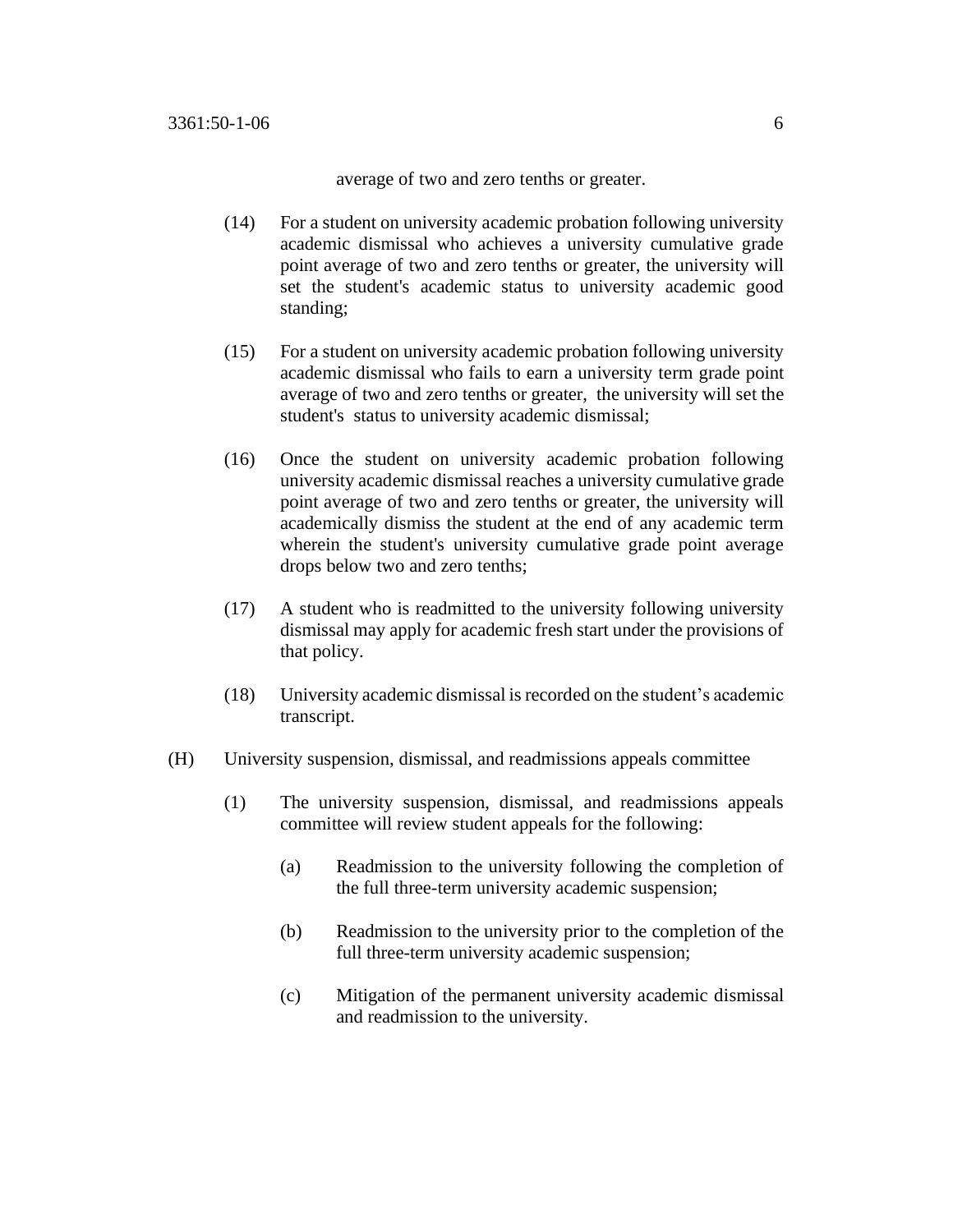average of two and zero tenths or greater.

- (14) For a student on university academic probation following university academic dismissal who achieves a university cumulative grade point average of two and zero tenths or greater, the university will set the student's academic status to university academic good standing;
- (15) For a student on university academic probation following university academic dismissal who fails to earn a university term grade point average of two and zero tenths or greater, the university will set the student's status to university academic dismissal;
- (16) Once the student on university academic probation following university academic dismissal reaches a university cumulative grade point average of two and zero tenths or greater, the university will academically dismiss the student at the end of any academic term wherein the student's university cumulative grade point average drops below two and zero tenths;
- (17) A student who is readmitted to the university following university dismissal may apply for academic fresh start under the provisions of that policy.
- (18) University academic dismissal is recorded on the student's academic transcript.
- (H) University suspension, dismissal, and readmissions appeals committee
	- (1) The university suspension, dismissal, and readmissions appeals committee will review student appeals for the following:
		- (a) Readmission to the university following the completion of the full three-term university academic suspension;
		- (b) Readmission to the university prior to the completion of the full three-term university academic suspension;
		- (c) Mitigation of the permanent university academic dismissal and readmission to the university.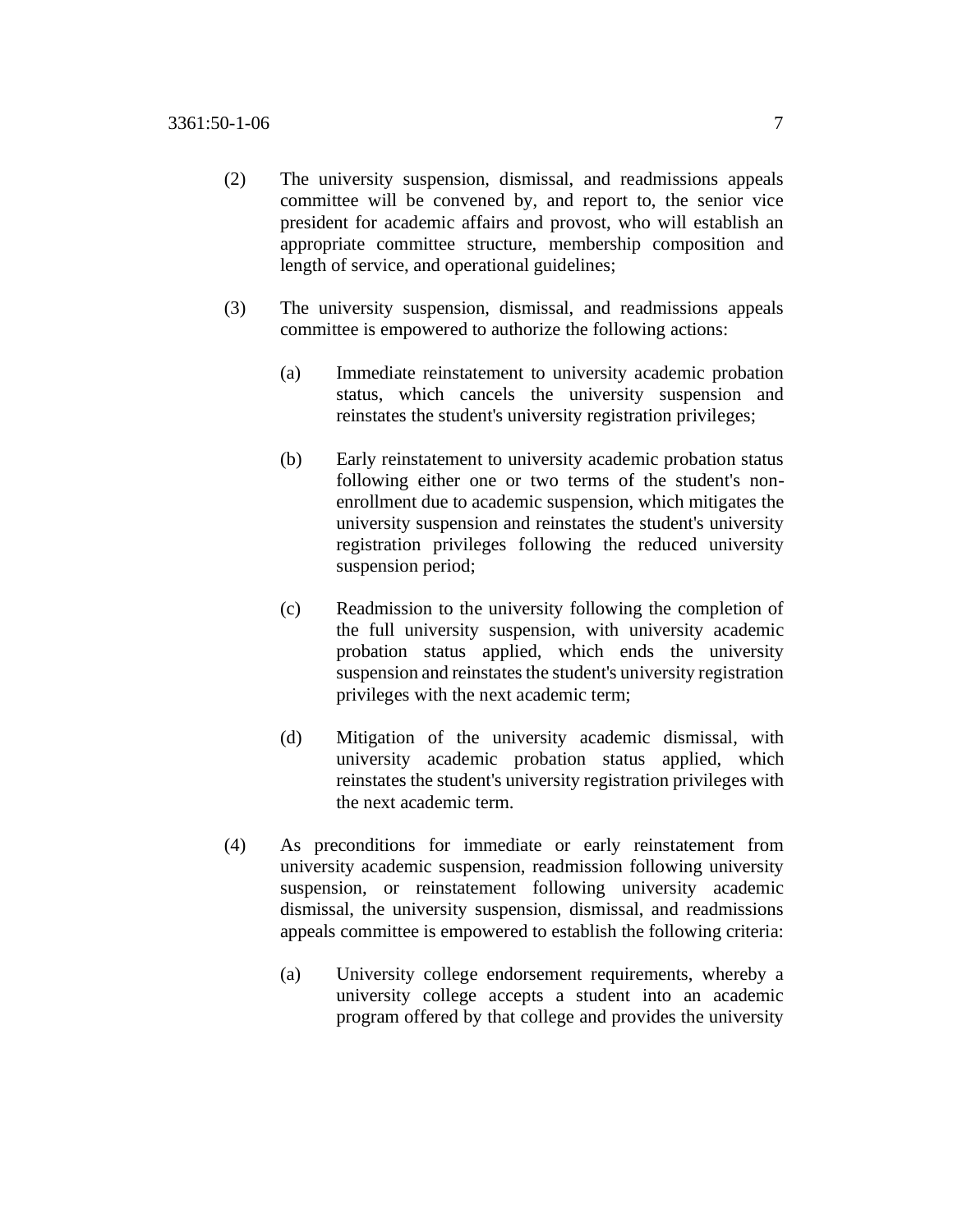- (2) The university suspension, dismissal, and readmissions appeals committee will be convened by, and report to, the senior vice president for academic affairs and provost, who will establish an appropriate committee structure, membership composition and length of service, and operational guidelines;
- (3) The university suspension, dismissal, and readmissions appeals committee is empowered to authorize the following actions:
	- (a) Immediate reinstatement to university academic probation status, which cancels the university suspension and reinstates the student's university registration privileges;
	- (b) Early reinstatement to university academic probation status following either one or two terms of the student's nonenrollment due to academic suspension, which mitigates the university suspension and reinstates the student's university registration privileges following the reduced university suspension period;
	- (c) Readmission to the university following the completion of the full university suspension, with university academic probation status applied, which ends the university suspension and reinstates the student's university registration privileges with the next academic term;
	- (d) Mitigation of the university academic dismissal, with university academic probation status applied, which reinstates the student's university registration privileges with the next academic term.
- (4) As preconditions for immediate or early reinstatement from university academic suspension, readmission following university suspension, or reinstatement following university academic dismissal, the university suspension, dismissal, and readmissions appeals committee is empowered to establish the following criteria:
	- (a) University college endorsement requirements, whereby a university college accepts a student into an academic program offered by that college and provides the university